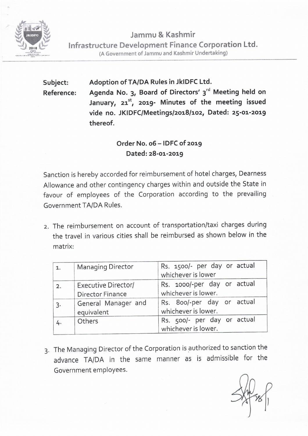

**Jammu & Kashmir Infrastructure Development Finance Corporation Ltd. (A** Government of Jammu and Kashmir Undertaking)

**Subject: Reference: Adoption of TA/DA Rules in JklDFC Ltd.**  Agenda No. 3, Board of Directors' 3<sup>rd</sup> Meeting held on **January, 21 5 \ 2019- Minutes of the meeting issued vide no. JKIDFC/Meetings/2018/102, Dated: 25-01-2019 thereof.** 

## **Order No. 06 - IDFC of 2019 Dated: 28-01-2019**

Sanction is hereby accorded for reimbursement of hotel charges, Dearness Allowance and other contingency charges within and outside the State in favour of employees of the Corporation according to the prevailing Government TA/DA Rules.

2. The reimbursement on account of transportation/taxi charges during the travel in various cities shall be reimbursed as shown below in the matrix:

| 1. | <b>Managing Director</b>                              | Rs. 1500/- per day or actual<br>whichever is lower |
|----|-------------------------------------------------------|----------------------------------------------------|
| 2. | <b>Executive Director/</b><br><b>Director Finance</b> | Rs. 1000/-per day or actual<br>whichever is lower. |
|    | General Manager and<br>equivalent                     | Rs. 800/-per day or actual<br>whichever is lower.  |
|    | Others                                                | Rs. 500/- per day or actual<br>whichever is lower. |

3. The Managing Director of the Corporation is authorized to sanction the advance TA/DA in the same manner as is admissible for the Government employees.